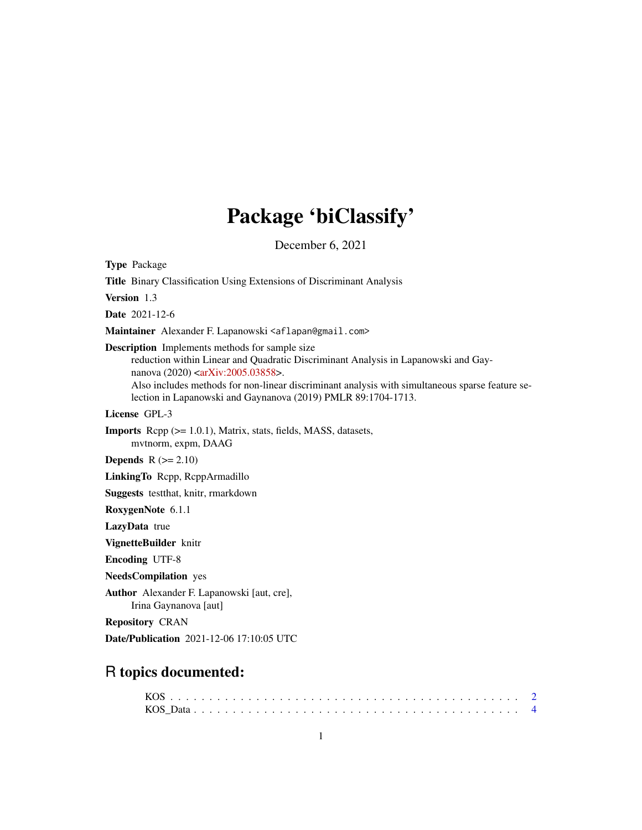## Package 'biClassify'

December 6, 2021

Type Package Title Binary Classification Using Extensions of Discriminant Analysis Version 1.3 Date 2021-12-6 Maintainer Alexander F. Lapanowski <aflapan@gmail.com> Description Implements methods for sample size reduction within Linear and Quadratic Discriminant Analysis in Lapanowski and Gay-nanova (2020) [<arXiv:2005.03858>](https://arxiv.org/abs/2005.03858). Also includes methods for non-linear discriminant analysis with simultaneous sparse feature selection in Lapanowski and Gaynanova (2019) PMLR 89:1704-1713. License GPL-3 Imports Rcpp (>= 1.0.1), Matrix, stats, fields, MASS, datasets, mvtnorm, expm, DAAG **Depends**  $R$  ( $>= 2.10$ ) LinkingTo Rcpp, RcppArmadillo Suggests testthat, knitr, rmarkdown RoxygenNote 6.1.1 LazyData true VignetteBuilder knitr Encoding UTF-8 NeedsCompilation yes Author Alexander F. Lapanowski [aut, cre], Irina Gaynanova [aut] Repository CRAN Date/Publication 2021-12-06 17:10:05 UTC

### R topics documented: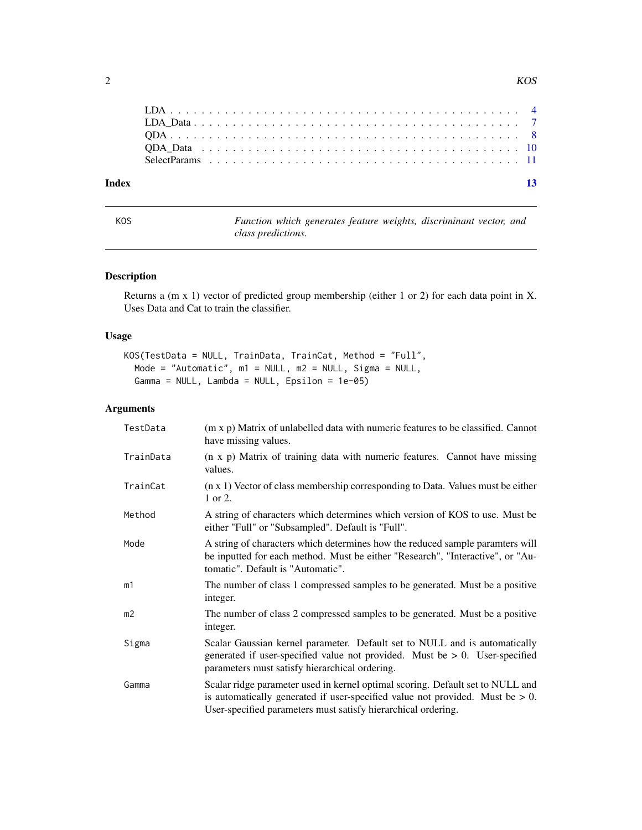<span id="page-1-0"></span>

| Index |  |  |  |  |  |  |  |  |  |  |  |  |  |  |  |  |  |  |  |  | $-13$ |
|-------|--|--|--|--|--|--|--|--|--|--|--|--|--|--|--|--|--|--|--|--|-------|
|       |  |  |  |  |  |  |  |  |  |  |  |  |  |  |  |  |  |  |  |  |       |
|       |  |  |  |  |  |  |  |  |  |  |  |  |  |  |  |  |  |  |  |  |       |
|       |  |  |  |  |  |  |  |  |  |  |  |  |  |  |  |  |  |  |  |  |       |
|       |  |  |  |  |  |  |  |  |  |  |  |  |  |  |  |  |  |  |  |  |       |
|       |  |  |  |  |  |  |  |  |  |  |  |  |  |  |  |  |  |  |  |  |       |

KOS *Function which generates feature weights, discriminant vector, and class predictions.*

#### Description

Returns a (m x 1) vector of predicted group membership (either 1 or 2) for each data point in X. Uses Data and Cat to train the classifier.

#### Usage

```
KOS(TestData = NULL, TrainData, TrainCat, Method = "Full",
 Mode = "Automatic", m1 = NULL, m2 = NULL, Sigma = NULL,
 Gamma = NULL, Lambda = NULL, Epsilon = 1e-05)
```
#### Arguments

| TestData  | (m x p) Matrix of unlabelled data with numeric features to be classified. Cannot<br>have missing values.                                                                                                                            |
|-----------|-------------------------------------------------------------------------------------------------------------------------------------------------------------------------------------------------------------------------------------|
| TrainData | (n x p) Matrix of training data with numeric features. Cannot have missing<br>values.                                                                                                                                               |
| TrainCat  | $(n \times 1)$ Vector of class membership corresponding to Data. Values must be either<br>1 or 2.                                                                                                                                   |
| Method    | A string of characters which determines which version of KOS to use. Must be<br>either "Full" or "Subsampled". Default is "Full".                                                                                                   |
| Mode      | A string of characters which determines how the reduced sample paramters will<br>be inputted for each method. Must be either "Research", "Interactive", or "Au-<br>tomatic". Default is "Automatic".                                |
| m1        | The number of class 1 compressed samples to be generated. Must be a positive<br>integer.                                                                                                                                            |
| m2        | The number of class 2 compressed samples to be generated. Must be a positive<br>integer.                                                                                                                                            |
| Sigma     | Scalar Gaussian kernel parameter. Default set to NULL and is automatically<br>generated if user-specified value not provided. Must be $> 0$ . User-specified<br>parameters must satisfy hierarchical ordering.                      |
| Gamma     | Scalar ridge parameter used in kernel optimal scoring. Default set to NULL and<br>is automatically generated if user-specified value not provided. Must be $> 0$ .<br>User-specified parameters must satisfy hierarchical ordering. |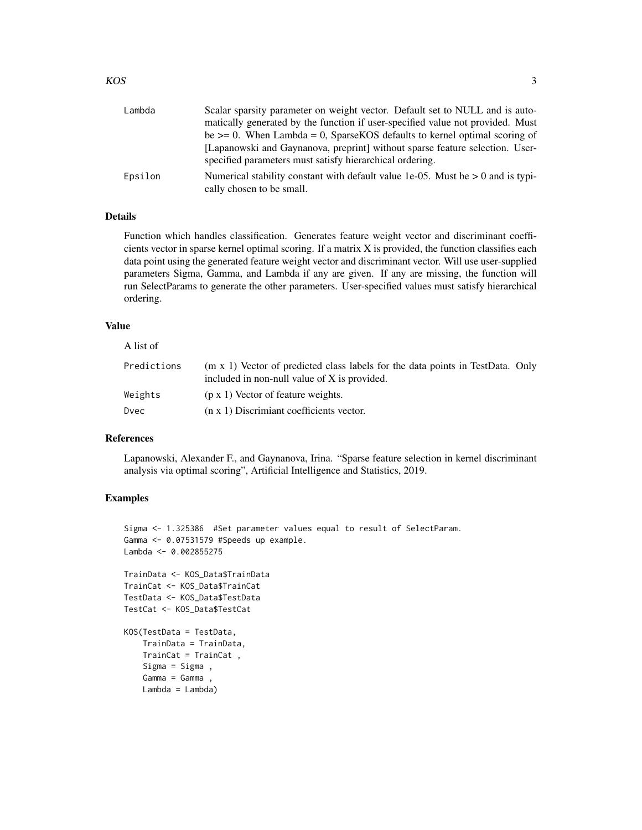| Lambda  | Scalar sparsity parameter on weight vector. Default set to NULL and is auto-                                                             |
|---------|------------------------------------------------------------------------------------------------------------------------------------------|
|         | matically generated by the function if user-specified value not provided. Must                                                           |
|         | be $\geq$ 0. When Lambda = 0, Sparse KOS defaults to kernel optimal scoring of                                                           |
|         | [Lapanowski and Gaynanova, preprint] without sparse feature selection. User-<br>specified parameters must satisfy hierarchical ordering. |
| Epsilon | Numerical stability constant with default value 1e-05. Must be $> 0$ and is typi-<br>cally chosen to be small.                           |

#### Details

Function which handles classification. Generates feature weight vector and discriminant coefficients vector in sparse kernel optimal scoring. If a matrix X is provided, the function classifies each data point using the generated feature weight vector and discriminant vector. Will use user-supplied parameters Sigma, Gamma, and Lambda if any are given. If any are missing, the function will run SelectParams to generate the other parameters. User-specified values must satisfy hierarchical ordering.

#### Value

#### A list of

| Predictions | (m x 1) Vector of predicted class labels for the data points in TestData. Only<br>included in non-null value of X is provided. |  |
|-------------|--------------------------------------------------------------------------------------------------------------------------------|--|
| Weights     | $(p \times 1)$ Vector of feature weights.                                                                                      |  |
| Dvec        | $(n \times 1)$ Discrimiant coefficients vector.                                                                                |  |

#### References

Lapanowski, Alexander F., and Gaynanova, Irina. "Sparse feature selection in kernel discriminant analysis via optimal scoring", Artificial Intelligence and Statistics, 2019.

```
Sigma <- 1.325386 #Set parameter values equal to result of SelectParam.
Gamma <- 0.07531579 #Speeds up example.
Lambda <- 0.002855275
TrainData <- KOS_Data$TrainData
TrainCat <- KOS_Data$TrainCat
TestData <- KOS_Data$TestData
TestCat <- KOS_Data$TestCat
KOS(TestData = TestData,
   TrainData = TrainData,
   TrainCat = TrainCat ,
   Sigma = Sigma ,
   Gamma = Gamma ,
   Lambda = Lambda)
```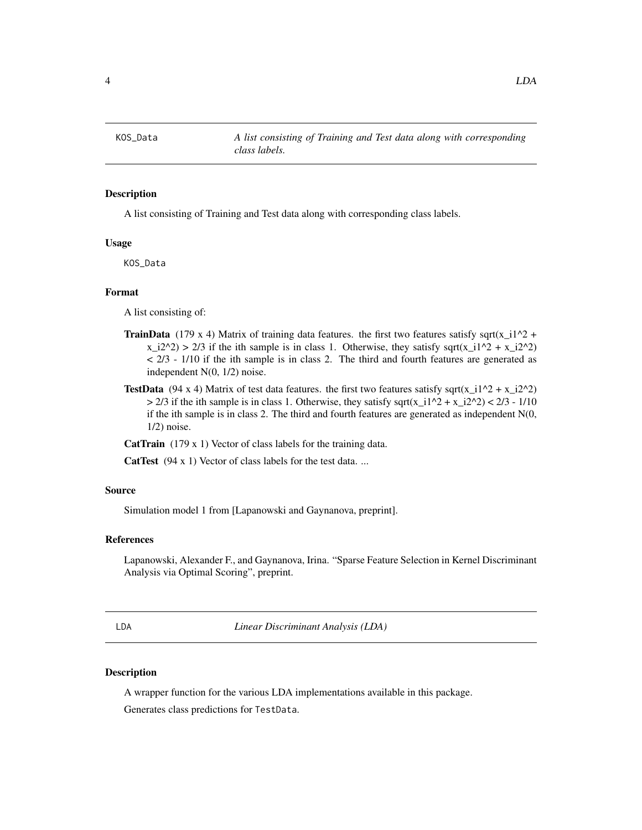#### <span id="page-3-0"></span>**Description**

A list consisting of Training and Test data along with corresponding class labels.

#### Usage

KOS\_Data

#### Format

A list consisting of:

- **TrainData** (179 x 4) Matrix of training data features. the first two features satisfy sqrt(x\_i1^2 +  $x_i^2/2 \rightarrow 2/3$  if the ith sample is in class 1. Otherwise, they satisfy sqrt( $x_i^1/2 + x_i^2/2$ )  $<$  2/3 - 1/10 if the ith sample is in class 2. The third and fourth features are generated as independent N(0, 1/2) noise.
- **TestData** (94 x 4) Matrix of test data features. the first two features satisfy sqrt(x\_i1^2 + x\_i2^2)  $> 2/3$  if the ith sample is in class 1. Otherwise, they satisfy sqrt(x\_i1^2 + x\_i2^2) < 2/3 - 1/10 if the ith sample is in class 2. The third and fourth features are generated as independent  $N(0, 1)$ 1/2) noise.

CatTrain (179 x 1) Vector of class labels for the training data.

CatTest (94 x 1) Vector of class labels for the test data...

#### Source

Simulation model 1 from [Lapanowski and Gaynanova, preprint].

#### References

Lapanowski, Alexander F., and Gaynanova, Irina. "Sparse Feature Selection in Kernel Discriminant Analysis via Optimal Scoring", preprint.

LDA *Linear Discriminant Analysis (LDA)*

#### Description

A wrapper function for the various LDA implementations available in this package.

Generates class predictions for TestData.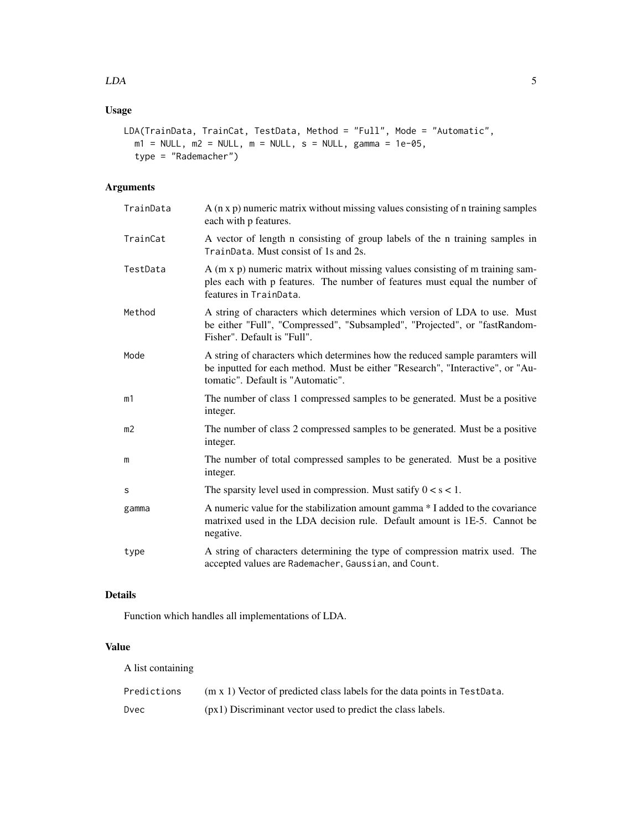#### Usage

```
LDA(TrainData, TrainCat, TestData, Method = "Full", Mode = "Automatic",
 m1 = NULL, m2 = NULL, m = NULL, s = NULL, gamma = 1e-05,
  type = "Rademacher")
```
#### Arguments

| TrainData | A (n x p) numeric matrix without missing values consisting of n training samples<br>each with p features.                                                                                            |
|-----------|------------------------------------------------------------------------------------------------------------------------------------------------------------------------------------------------------|
| TrainCat  | A vector of length n consisting of group labels of the n training samples in<br>TrainData. Must consist of 1s and 2s.                                                                                |
| TestData  | A (m x p) numeric matrix without missing values consisting of m training sam-<br>ples each with p features. The number of features must equal the number of<br>features in TrainData.                |
| Method    | A string of characters which determines which version of LDA to use. Must<br>be either "Full", "Compressed", "Subsampled", "Projected", or "fastRandom-<br>Fisher". Default is "Full".               |
| Mode      | A string of characters which determines how the reduced sample paramters will<br>be inputted for each method. Must be either "Research", "Interactive", or "Au-<br>tomatic". Default is "Automatic". |
| m1        | The number of class 1 compressed samples to be generated. Must be a positive<br>integer.                                                                                                             |
| m2        | The number of class 2 compressed samples to be generated. Must be a positive<br>integer.                                                                                                             |
| m         | The number of total compressed samples to be generated. Must be a positive<br>integer.                                                                                                               |
| S         | The sparsity level used in compression. Must satify $0 < s < 1$ .                                                                                                                                    |
| gamma     | A numeric value for the stabilization amount gamma * I added to the covariance<br>matrixed used in the LDA decision rule. Default amount is 1E-5. Cannot be<br>negative.                             |
| type      | A string of characters determining the type of compression matrix used. The<br>accepted values are Rademacher, Gaussian, and Count.                                                                  |

#### Details

Function which handles all implementations of LDA.

#### Value

A list containing

| Predictions | $(m \times 1)$ Vector of predicted class labels for the data points in TestData. |
|-------------|----------------------------------------------------------------------------------|
| Dvec        | (px1) Discriminant vector used to predict the class labels.                      |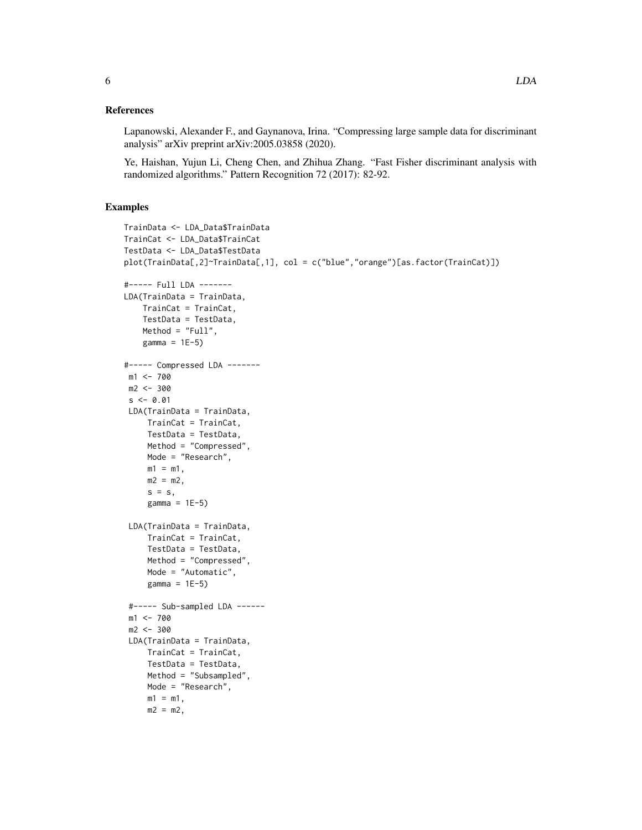Lapanowski, Alexander F., and Gaynanova, Irina. "Compressing large sample data for discriminant analysis" arXiv preprint arXiv:2005.03858 (2020).

Ye, Haishan, Yujun Li, Cheng Chen, and Zhihua Zhang. "Fast Fisher discriminant analysis with randomized algorithms." Pattern Recognition 72 (2017): 82-92.

```
TrainData <- LDA_Data$TrainData
TrainCat <- LDA_Data$TrainCat
TestData <- LDA_Data$TestData
plot(TrainData[,2]~TrainData[,1], col = c("blue","orange")[as.factor(TrainCat)])
#----- Full LDA -------
LDA(TrainData = TrainData,
   TrainCat = TrainCat,
   TestData = TestData,
   Method = "Full",
   gamma = 1E-5)
#----- Compressed LDA -------
 m1 < -700m2 < -300s < -0.01LDA(TrainData = TrainData,
    TrainCat = TrainCat,
    TestData = TestData,
    Method = "Compressed",
    Mode = "Research",
    m1 = m1,
    m2 = m2,
    s = s,
    gamma = 1E-5)
 LDA(TrainData = TrainData,
     TrainCat = TrainCat,
     TestData = TestData,
    Method = "Compressed",
    Mode = "Automatic",
    gamma = 1E-5)
 #----- Sub-sampled LDA ------
 m1 <- 700
 m2 < -300LDA(TrainData = TrainData,
    TrainCat = TrainCat,
    TestData = TestData,
    Method = "Subsampled",
    Mode = "Research",
    m1 = m1,
    m2 = m2,
```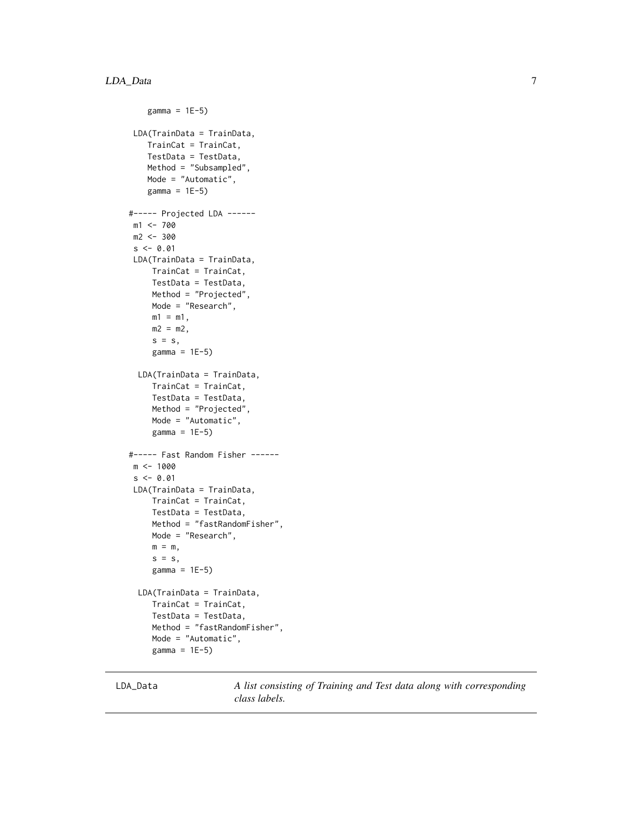```
gamma = 1E-5)
 LDA(TrainData = TrainData,
    TrainCat = TrainCat,
    TestData = TestData,
   Method = "Subsampled",
   Mode = "Automatic",
    gamma = 1E-5)
#----- Projected LDA ------
 m1 <- 700
 m2 <- 300
 s < -0.01LDA(TrainData = TrainData,
     TrainCat = TrainCat,
     TestData = TestData,
    Method = "Projected",
    Mode = "Research",
    m1 = m1,
    m2 = m2,
     s = s,
     gamma = 1E-5)
  LDA(TrainData = TrainData,
     TrainCat = TrainCat,
     TestData = TestData,
     Method = "Projected",
     Mode = "Automatic",
     gamma = 1E-5)
#----- Fast Random Fisher ------
m <- 1000
 s < -0.01LDA(TrainData = TrainData,
     TrainCat = TrainCat,
     TestData = TestData,
    Method = "fastRandomFisher",
    Mode = "Research",
    m = m,
     s = s,
     gamma = 1E-5)
  LDA(TrainData = TrainData,
     TrainCat = TrainCat,
     TestData = TestData,
     Method = "fastRandomFisher",
     Mode = "Automatic",
     gamma = 1E-5)
```
LDA\_Data *A list consisting of Training and Test data along with corresponding class labels.*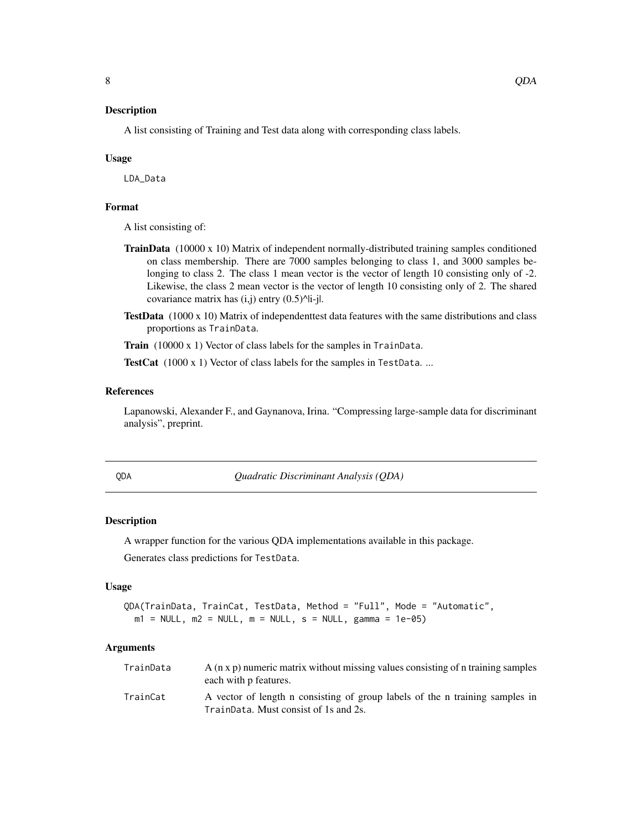<span id="page-7-0"></span>A list consisting of Training and Test data along with corresponding class labels.

#### Usage

LDA\_Data

#### Format

A list consisting of:

- **TrainData** (10000 x 10) Matrix of independent normally-distributed training samples conditioned on class membership. There are 7000 samples belonging to class 1, and 3000 samples belonging to class 2. The class 1 mean vector is the vector of length 10 consisting only of -2. Likewise, the class 2 mean vector is the vector of length 10 consisting only of 2. The shared covariance matrix has  $(i,j)$  entry  $(0.5)^{\text{Al}}-j$ .
- **TestData**  $(1000 \times 10)$  Matrix of independenttest data features with the same distributions and class proportions as TrainData.

Train (10000 x 1) Vector of class labels for the samples in TrainData.

TestCat (1000 x 1) Vector of class labels for the samples in TestData...

#### References

Lapanowski, Alexander F., and Gaynanova, Irina. "Compressing large-sample data for discriminant analysis", preprint.

QDA *Quadratic Discriminant Analysis (QDA)*

#### Description

A wrapper function for the various QDA implementations available in this package.

Generates class predictions for TestData.

#### Usage

```
QDA(TrainData, TrainCat, TestData, Method = "Full", Mode = "Automatic",
 m1 = NULL, m2 = NULL, m = NULL, s = NULL, gamma = 1e-05
```
#### Arguments

| TrainData | $A$ (n x p) numeric matrix without missing values consisting of n training samples<br>each with p features.           |
|-----------|-----------------------------------------------------------------------------------------------------------------------|
| TrainCat  | A vector of length n consisting of group labels of the n training samples in<br>TrainData. Must consist of 1s and 2s. |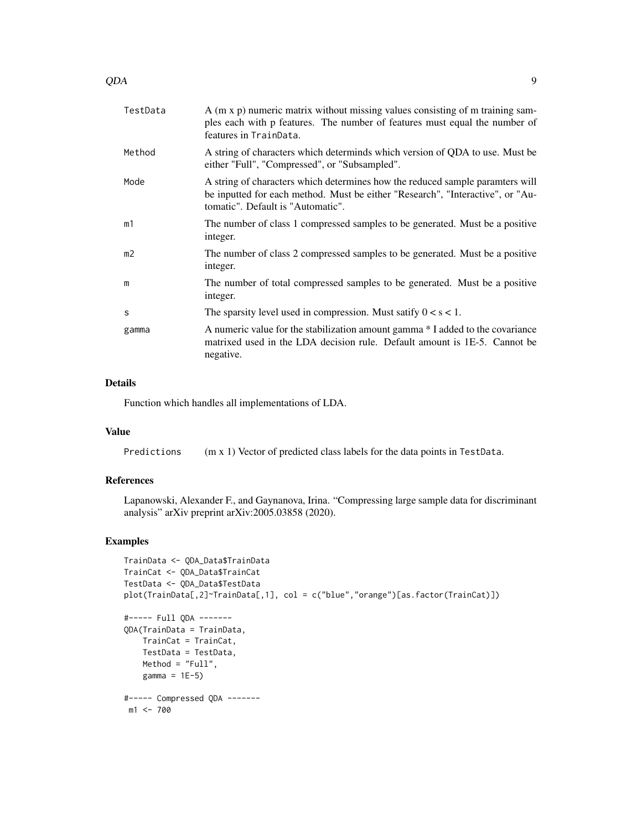| TestData       | A (m x p) numeric matrix without missing values consisting of m training sam-<br>ples each with p features. The number of features must equal the number of<br>features in TrainData.                |
|----------------|------------------------------------------------------------------------------------------------------------------------------------------------------------------------------------------------------|
| Method         | A string of characters which determinds which version of QDA to use. Must be<br>either "Full", "Compressed", or "Subsampled".                                                                        |
| Mode           | A string of characters which determines how the reduced sample paramters will<br>be inputted for each method. Must be either "Research", "Interactive", or "Au-<br>tomatic". Default is "Automatic". |
| m1             | The number of class 1 compressed samples to be generated. Must be a positive<br>integer.                                                                                                             |
| m <sub>2</sub> | The number of class 2 compressed samples to be generated. Must be a positive<br>integer.                                                                                                             |
| m              | The number of total compressed samples to be generated. Must be a positive<br>integer.                                                                                                               |
| S              | The sparsity level used in compression. Must satify $0 < s < 1$ .                                                                                                                                    |
| gamma          | A numeric value for the stabilization amount gamma * I added to the covariance<br>matrixed used in the LDA decision rule. Default amount is 1E-5. Cannot be<br>negative.                             |
|                |                                                                                                                                                                                                      |

#### Details

Function which handles all implementations of LDA.

#### Value

Predictions (m x 1) Vector of predicted class labels for the data points in TestData.

#### References

Lapanowski, Alexander F., and Gaynanova, Irina. "Compressing large sample data for discriminant analysis" arXiv preprint arXiv:2005.03858 (2020).

```
TrainData <- QDA_Data$TrainData
TrainCat <- QDA_Data$TrainCat
TestData <- QDA_Data$TestData
plot(TrainData[,2]~TrainData[,1], col = c("blue","orange")[as.factor(TrainCat)])
#----- Full QDA -------
QDA(TrainData = TrainData,
   TrainCat = TrainCat,
   TestData = TestData,
   Method = "Full",
   gamma = 1E-5)
#----- Compressed QDA -------
m1 <- 700
```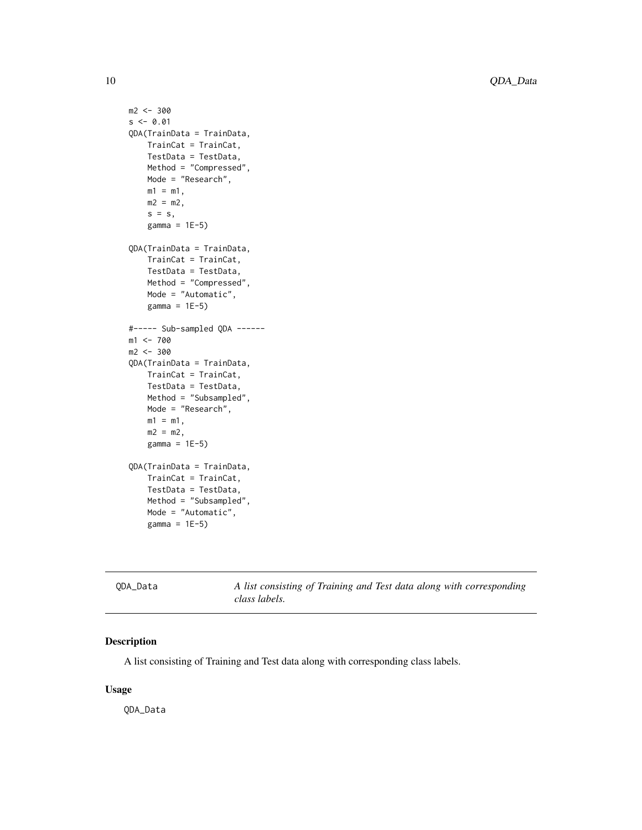```
m2 < -300s < -0.01QDA(TrainData = TrainData,
   TrainCat = TrainCat,
   TestData = TestData,
   Method = "Compressed",
   Mode = "Research",
   m1 = m1,
   m2 = m2,
   s = s,
    gamma = 1E-5)
QDA(TrainData = TrainData,
    TrainCat = TrainCat,
    TestData = TestData,
   Method = "Compressed",
   Mode = "Automatic",
    gamma = 1E-5)
#----- Sub-sampled QDA ------
m1 <- 700
m2 < -300QDA(TrainData = TrainData,
   TrainCat = TrainCat,
   TestData = TestData,
   Method = "Subsampled",
   Mode = "Research",
   m1 = m1,
   m2 = m2,
   gamma = 1E-5)
QDA(TrainData = TrainData,
   TrainCat = TrainCat,
    TestData = TestData,
   Method = "Subsampled",
   Mode = "Automatic",
    gamma = 1E-5)
```
QDA\_Data *A list consisting of Training and Test data along with corresponding class labels.*

#### Description

A list consisting of Training and Test data along with corresponding class labels.

#### Usage

QDA\_Data

<span id="page-9-0"></span>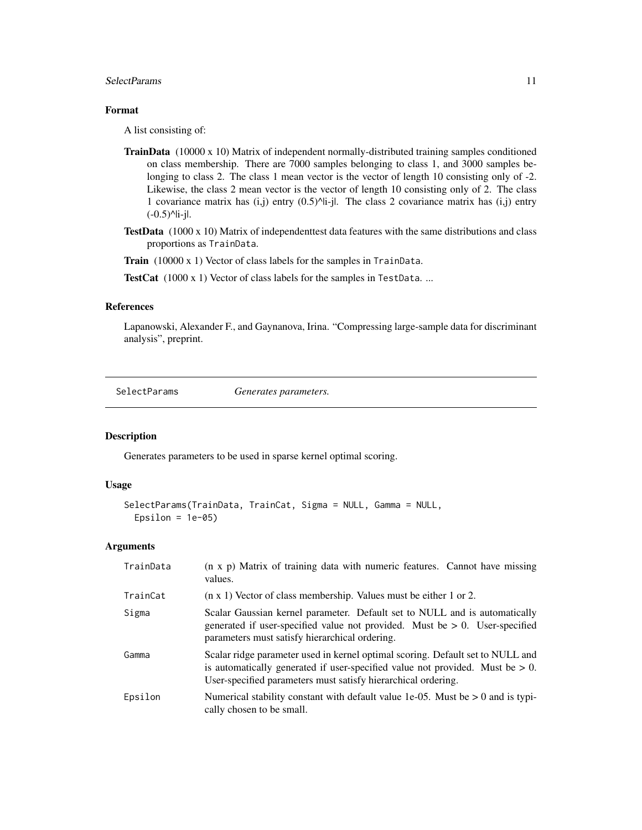#### <span id="page-10-0"></span>SelectParams 11

#### Format

A list consisting of:

- **TrainData**  $(10000 \times 10)$  Matrix of independent normally-distributed training samples conditioned on class membership. There are 7000 samples belonging to class 1, and 3000 samples belonging to class 2. The class 1 mean vector is the vector of length 10 consisting only of -2. Likewise, the class 2 mean vector is the vector of length 10 consisting only of 2. The class 1 covariance matrix has  $(i, j)$  entry  $(0.5)^{N}$ i-jl. The class 2 covariance matrix has  $(i, j)$  entry  $(-0.5)^{\text{ln}-j}$ .
- **TestData** (1000 x 10) Matrix of independenttest data features with the same distributions and class proportions as TrainData.

Train (10000 x 1) Vector of class labels for the samples in TrainData.

TestCat (1000 x 1) Vector of class labels for the samples in TestData...

#### References

Lapanowski, Alexander F., and Gaynanova, Irina. "Compressing large-sample data for discriminant analysis", preprint.

SelectParams *Generates parameters.*

#### Description

Generates parameters to be used in sparse kernel optimal scoring.

#### Usage

```
SelectParams(TrainData, TrainCat, Sigma = NULL, Gamma = NULL,
 Epsilon = 1e-05
```
#### **Arguments**

| TrainData | (n x p) Matrix of training data with numeric features. Cannot have missing<br>values.                                                                                                                                               |
|-----------|-------------------------------------------------------------------------------------------------------------------------------------------------------------------------------------------------------------------------------------|
| TrainCat  | $(n \times 1)$ Vector of class membership. Values must be either 1 or 2.                                                                                                                                                            |
| Sigma     | Scalar Gaussian kernel parameter. Default set to NULL and is automatically<br>generated if user-specified value not provided. Must be $> 0$ . User-specified<br>parameters must satisfy hierarchical ordering.                      |
| Gamma     | Scalar ridge parameter used in kernel optimal scoring. Default set to NULL and<br>is automatically generated if user-specified value not provided. Must be $> 0$ .<br>User-specified parameters must satisfy hierarchical ordering. |
| Epsilon   | Numerical stability constant with default value 1e-05. Must be $> 0$ and is typi-<br>cally chosen to be small.                                                                                                                      |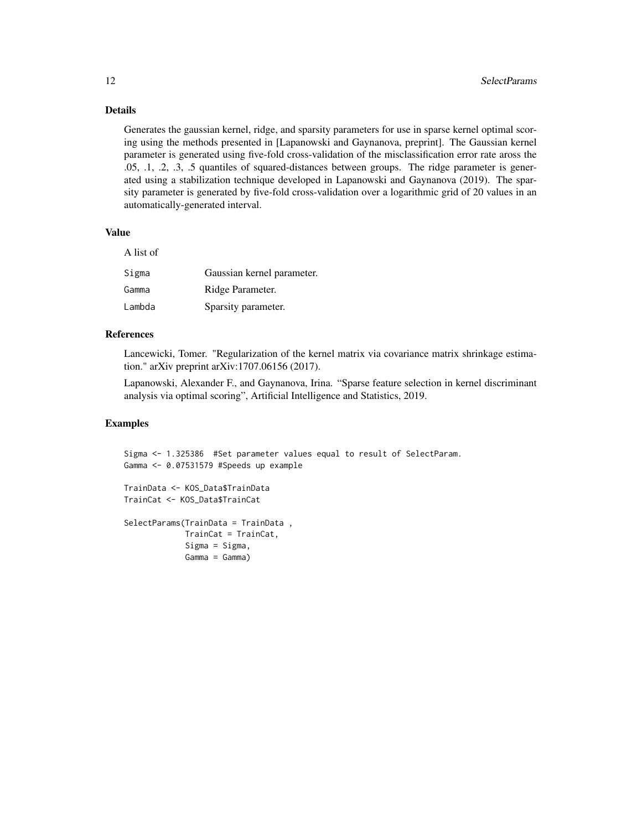#### Details

Generates the gaussian kernel, ridge, and sparsity parameters for use in sparse kernel optimal scoring using the methods presented in [Lapanowski and Gaynanova, preprint]. The Gaussian kernel parameter is generated using five-fold cross-validation of the misclassification error rate aross the .05, .1, .2, .3, .5 quantiles of squared-distances between groups. The ridge parameter is generated using a stabilization technique developed in Lapanowski and Gaynanova (2019). The sparsity parameter is generated by five-fold cross-validation over a logarithmic grid of 20 values in an automatically-generated interval.

#### Value

| A list of |                            |
|-----------|----------------------------|
| Sigma     | Gaussian kernel parameter. |
| Gamma     | Ridge Parameter.           |
| Lambda    | Sparsity parameter.        |

#### References

Lancewicki, Tomer. "Regularization of the kernel matrix via covariance matrix shrinkage estimation." arXiv preprint arXiv:1707.06156 (2017).

Lapanowski, Alexander F., and Gaynanova, Irina. "Sparse feature selection in kernel discriminant analysis via optimal scoring", Artificial Intelligence and Statistics, 2019.

```
Sigma <- 1.325386 #Set parameter values equal to result of SelectParam.
Gamma <- 0.07531579 #Speeds up example
TrainData <- KOS_Data$TrainData
TrainCat <- KOS_Data$TrainCat
SelectParams(TrainData = TrainData ,
            TrainCat = TrainCat,
             Sigma = Sigma,
             Gamma = Gamma)
```